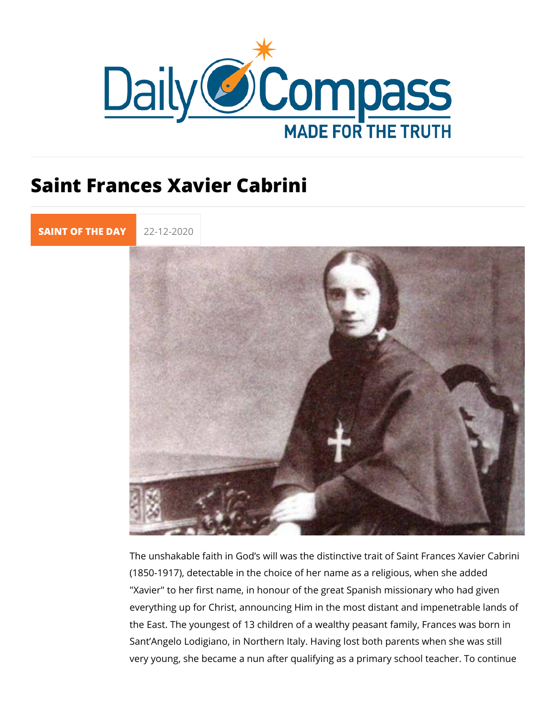## Saint Frances Xavier Cabrini

[SAINT OF TH](https://newdailycompass.com/en/santi-del-giorno)E 22-12-2020

The unshakable faith in God s will was the distinctive trait of  $(1850-1917)$ , detectable in the choice of her name as a religio "Xavier" to her first name, in honour of the great Spanish miss everything up for Christ, announcing Him in the most distant a the East. The youngest of 13 children of a wealthy peasant far Sant Angelo Lodigiano, in Northern Italy. Having lost both par very young, she became a nun after qualifying as a primary sc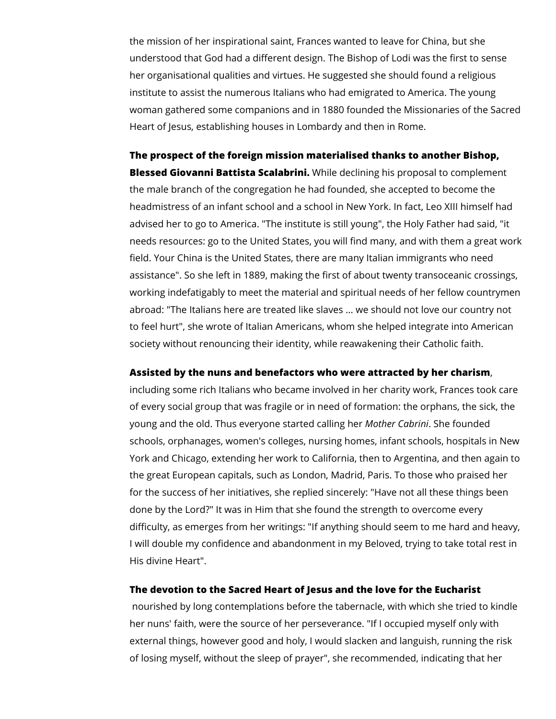the mission of her inspirational saint, Frances wanted to leave for China, but she understood that God had a different design. The Bishop of Lodi was the first to sense her organisational qualities and virtues. He suggested she should found a religious institute to assist the numerous Italians who had emigrated to America. The young woman gathered some companions and in 1880 founded the Missionaries of the Sacred Heart of Jesus, establishing houses in Lombardy and then in Rome.

**The prospect of the foreign mission materialised thanks to another Bishop, Blessed Giovanni Battista Scalabrini.** While declining his proposal to complement the male branch of the congregation he had founded, she accepted to become the headmistress of an infant school and a school in New York. In fact, Leo XIII himself had advised her to go to America. "The institute is still young", the Holy Father had said, "it needs resources: go to the United States, you will find many, and with them a great work field. Your China is the United States, there are many Italian immigrants who need assistance". So she left in 1889, making the first of about twenty transoceanic crossings, working indefatigably to meet the material and spiritual needs of her fellow countrymen abroad: "The Italians here are treated like slaves ... we should not love our country not to feel hurt", she wrote of Italian Americans, whom she helped integrate into American society without renouncing their identity, while reawakening their Catholic faith.

## **Assisted by the nuns and benefactors who were attracted by her charism**,

including some rich Italians who became involved in her charity work, Frances took care of every social group that was fragile or in need of formation: the orphans, the sick, the young and the old. Thus everyone started calling her *Mother Cabrini*. She founded schools, orphanages, women's colleges, nursing homes, infant schools, hospitals in New York and Chicago, extending her work to California, then to Argentina, and then again to the great European capitals, such as London, Madrid, Paris. To those who praised her for the success of her initiatives, she replied sincerely: "Have not all these things been done by the Lord?" It was in Him that she found the strength to overcome every difficulty, as emerges from her writings: "If anything should seem to me hard and heavy, I will double my confidence and abandonment in my Beloved, trying to take total rest in His divine Heart".

## **The devotion to the Sacred Heart of Jesus and the love for the Eucharist**

 nourished by long contemplations before the tabernacle, with which she tried to kindle her nuns' faith, were the source of her perseverance. "If I occupied myself only with external things, however good and holy, I would slacken and languish, running the risk of losing myself, without the sleep of prayer", she recommended, indicating that her